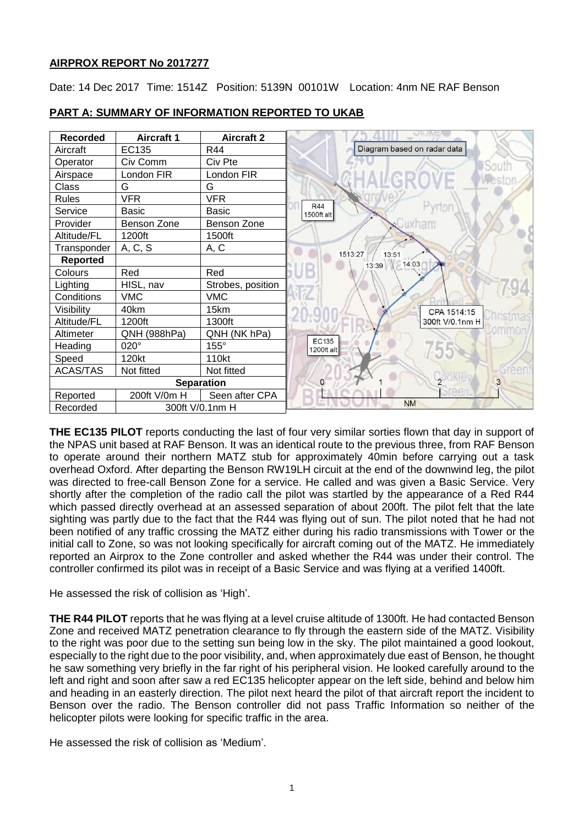# **AIRPROX REPORT No 2017277**

Date: 14 Dec 2017 Time: 1514Z Position: 5139N 00101W Location: 4nm NE RAF Benson



# **PART A: SUMMARY OF INFORMATION REPORTED TO UKAB**

**THE EC135 PILOT** reports conducting the last of four very similar sorties flown that day in support of the NPAS unit based at RAF Benson. It was an identical route to the previous three, from RAF Benson to operate around their northern MATZ stub for approximately 40min before carrying out a task overhead Oxford. After departing the Benson RW19LH circuit at the end of the downwind leg, the pilot was directed to free-call Benson Zone for a service. He called and was given a Basic Service. Very shortly after the completion of the radio call the pilot was startled by the appearance of a Red R44 which passed directly overhead at an assessed separation of about 200ft. The pilot felt that the late sighting was partly due to the fact that the R44 was flying out of sun. The pilot noted that he had not been notified of any traffic crossing the MATZ either during his radio transmissions with Tower or the initial call to Zone, so was not looking specifically for aircraft coming out of the MATZ. He immediately reported an Airprox to the Zone controller and asked whether the R44 was under their control. The controller confirmed its pilot was in receipt of a Basic Service and was flying at a verified 1400ft.

He assessed the risk of collision as 'High'.

**THE R44 PILOT** reports that he was flying at a level cruise altitude of 1300ft. He had contacted Benson Zone and received MATZ penetration clearance to fly through the eastern side of the MATZ. Visibility to the right was poor due to the setting sun being low in the sky. The pilot maintained a good lookout, especially to the right due to the poor visibility, and, when approximately due east of Benson, he thought he saw something very briefly in the far right of his peripheral vision. He looked carefully around to the left and right and soon after saw a red EC135 helicopter appear on the left side, behind and below him and heading in an easterly direction. The pilot next heard the pilot of that aircraft report the incident to Benson over the radio. The Benson controller did not pass Traffic Information so neither of the helicopter pilots were looking for specific traffic in the area.

He assessed the risk of collision as 'Medium'.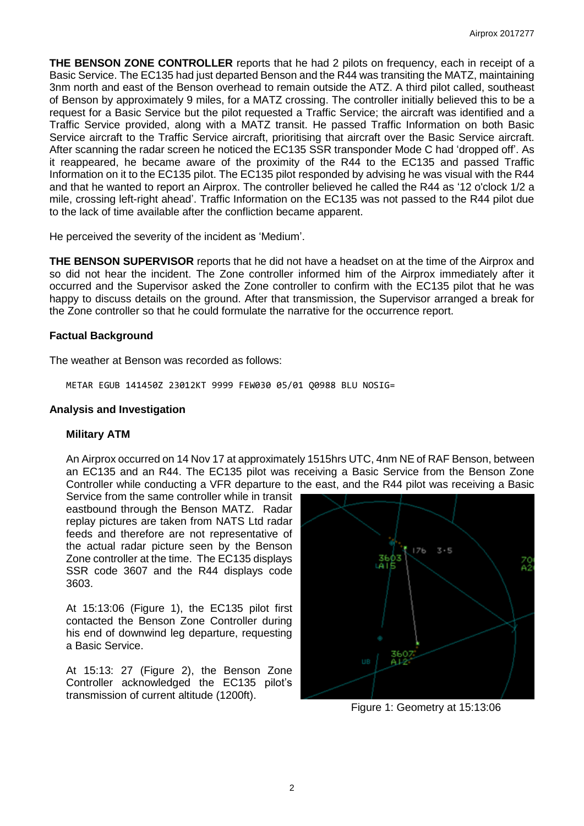**THE BENSON ZONE CONTROLLER** reports that he had 2 pilots on frequency, each in receipt of a Basic Service. The EC135 had just departed Benson and the R44 was transiting the MATZ, maintaining 3nm north and east of the Benson overhead to remain outside the ATZ. A third pilot called, southeast of Benson by approximately 9 miles, for a MATZ crossing. The controller initially believed this to be a request for a Basic Service but the pilot requested a Traffic Service; the aircraft was identified and a Traffic Service provided, along with a MATZ transit. He passed Traffic Information on both Basic Service aircraft to the Traffic Service aircraft, prioritising that aircraft over the Basic Service aircraft. After scanning the radar screen he noticed the EC135 SSR transponder Mode C had 'dropped off'. As it reappeared, he became aware of the proximity of the R44 to the EC135 and passed Traffic Information on it to the EC135 pilot. The EC135 pilot responded by advising he was visual with the R44 and that he wanted to report an Airprox. The controller believed he called the R44 as '12 o'clock 1/2 a mile, crossing left-right ahead'. Traffic Information on the EC135 was not passed to the R44 pilot due to the lack of time available after the confliction became apparent.

He perceived the severity of the incident as 'Medium'.

**THE BENSON SUPERVISOR** reports that he did not have a headset on at the time of the Airprox and so did not hear the incident. The Zone controller informed him of the Airprox immediately after it occurred and the Supervisor asked the Zone controller to confirm with the EC135 pilot that he was happy to discuss details on the ground. After that transmission, the Supervisor arranged a break for the Zone controller so that he could formulate the narrative for the occurrence report.

### **Factual Background**

The weather at Benson was recorded as follows:

METAR EGUB 141450Z 23012KT 9999 FEW030 05/01 Q0988 BLU NOSIG=

### **Analysis and Investigation**

#### **Military ATM**

An Airprox occurred on 14 Nov 17 at approximately 1515hrs UTC, 4nm NE of RAF Benson, between an EC135 and an R44. The EC135 pilot was receiving a Basic Service from the Benson Zone Controller while conducting a VFR departure to the east, and the R44 pilot was receiving a Basic

Service from the same controller while in transit eastbound through the Benson MATZ. Radar replay pictures are taken from NATS Ltd radar feeds and therefore are not representative of the actual radar picture seen by the Benson Zone controller at the time. The EC135 displays SSR code 3607 and the R44 displays code 3603.

At 15:13:06 (Figure 1), the EC135 pilot first contacted the Benson Zone Controller during his end of downwind leg departure, requesting a Basic Service.

At 15:13: 27 (Figure 2), the Benson Zone Controller acknowledged the EC135 pilot's transmission of current altitude (1200ft).



Figure 1: Geometry at 15:13:06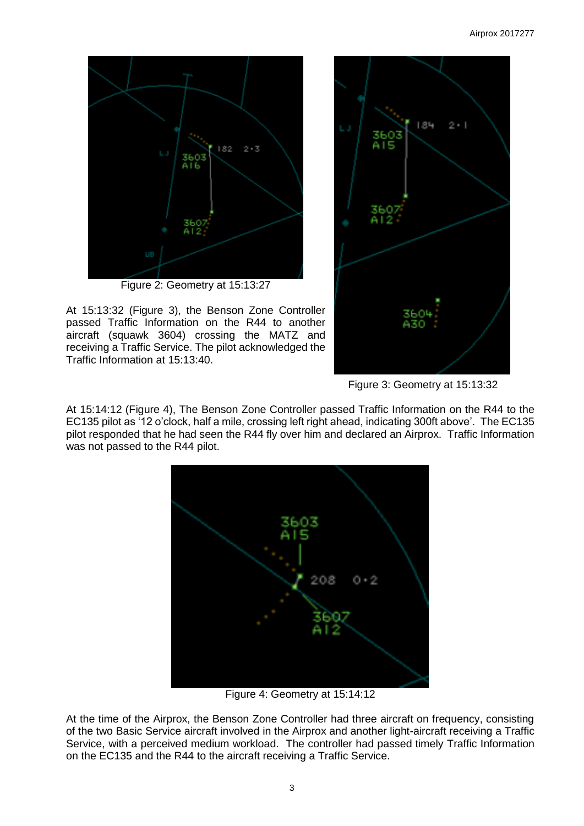

At 15:13:32 (Figure 3), the Benson Zone Controller passed Traffic Information on the R44 to another aircraft (squawk 3604) crossing the MATZ and receiving a Traffic Service. The pilot acknowledged the Traffic Information at 15:13:40.



Figure 3: Geometry at 15:13:32

At 15:14:12 (Figure 4), The Benson Zone Controller passed Traffic Information on the R44 to the EC135 pilot as '12 o'clock, half a mile, crossing left right ahead, indicating 300ft above'. The EC135 pilot responded that he had seen the R44 fly over him and declared an Airprox. Traffic Information was not passed to the R44 pilot.



Figure 4: Geometry at 15:14:12

At the time of the Airprox, the Benson Zone Controller had three aircraft on frequency, consisting of the two Basic Service aircraft involved in the Airprox and another light-aircraft receiving a Traffic Service, with a perceived medium workload. The controller had passed timely Traffic Information on the EC135 and the R44 to the aircraft receiving a Traffic Service.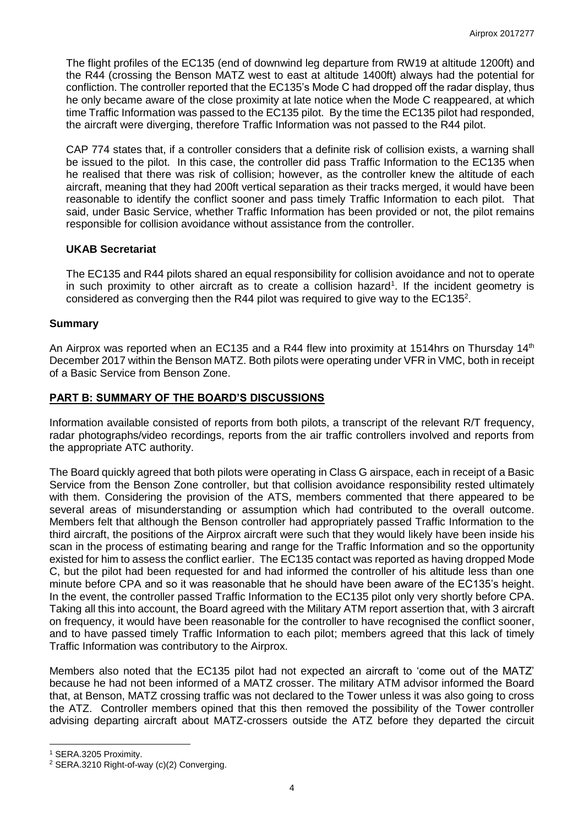The flight profiles of the EC135 (end of downwind leg departure from RW19 at altitude 1200ft) and the R44 (crossing the Benson MATZ west to east at altitude 1400ft) always had the potential for confliction. The controller reported that the EC135's Mode C had dropped off the radar display, thus he only became aware of the close proximity at late notice when the Mode C reappeared, at which time Traffic Information was passed to the EC135 pilot. By the time the EC135 pilot had responded, the aircraft were diverging, therefore Traffic Information was not passed to the R44 pilot.

CAP 774 states that, if a controller considers that a definite risk of collision exists, a warning shall be issued to the pilot. In this case, the controller did pass Traffic Information to the EC135 when he realised that there was risk of collision; however, as the controller knew the altitude of each aircraft, meaning that they had 200ft vertical separation as their tracks merged, it would have been reasonable to identify the conflict sooner and pass timely Traffic Information to each pilot. That said, under Basic Service, whether Traffic Information has been provided or not, the pilot remains responsible for collision avoidance without assistance from the controller.

### **UKAB Secretariat**

The EC135 and R44 pilots shared an equal responsibility for collision avoidance and not to operate in such proximity to other aircraft as to create a collision hazard<sup>1</sup>. If the incident geometry is considered as converging then the R44 pilot was required to give way to the EC135<sup>2</sup>.

### **Summary**

An Airprox was reported when an EC135 and a R44 flew into proximity at 1514hrs on Thursday 14<sup>th</sup> December 2017 within the Benson MATZ. Both pilots were operating under VFR in VMC, both in receipt of a Basic Service from Benson Zone.

## **PART B: SUMMARY OF THE BOARD'S DISCUSSIONS**

Information available consisted of reports from both pilots, a transcript of the relevant R/T frequency, radar photographs/video recordings, reports from the air traffic controllers involved and reports from the appropriate ATC authority.

The Board quickly agreed that both pilots were operating in Class G airspace, each in receipt of a Basic Service from the Benson Zone controller, but that collision avoidance responsibility rested ultimately with them. Considering the provision of the ATS, members commented that there appeared to be several areas of misunderstanding or assumption which had contributed to the overall outcome. Members felt that although the Benson controller had appropriately passed Traffic Information to the third aircraft, the positions of the Airprox aircraft were such that they would likely have been inside his scan in the process of estimating bearing and range for the Traffic Information and so the opportunity existed for him to assess the conflict earlier. The EC135 contact was reported as having dropped Mode C, but the pilot had been requested for and had informed the controller of his altitude less than one minute before CPA and so it was reasonable that he should have been aware of the EC135's height. In the event, the controller passed Traffic Information to the EC135 pilot only very shortly before CPA. Taking all this into account, the Board agreed with the Military ATM report assertion that, with 3 aircraft on frequency, it would have been reasonable for the controller to have recognised the conflict sooner, and to have passed timely Traffic Information to each pilot; members agreed that this lack of timely Traffic Information was contributory to the Airprox.

Members also noted that the EC135 pilot had not expected an aircraft to 'come out of the MATZ' because he had not been informed of a MATZ crosser. The military ATM advisor informed the Board that, at Benson, MATZ crossing traffic was not declared to the Tower unless it was also going to cross the ATZ. Controller members opined that this then removed the possibility of the Tower controller advising departing aircraft about MATZ-crossers outside the ATZ before they departed the circuit

 $\overline{\phantom{a}}$ 

<sup>1</sup> SERA.3205 Proximity.

<sup>&</sup>lt;sup>2</sup> SERA.3210 Right-of-way (c)(2) Converging.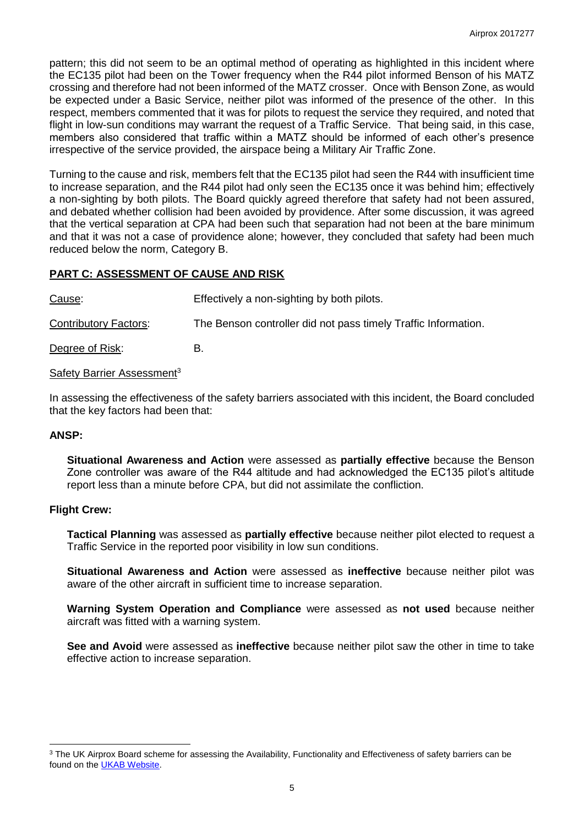pattern; this did not seem to be an optimal method of operating as highlighted in this incident where the EC135 pilot had been on the Tower frequency when the R44 pilot informed Benson of his MATZ crossing and therefore had not been informed of the MATZ crosser. Once with Benson Zone, as would be expected under a Basic Service, neither pilot was informed of the presence of the other. In this respect, members commented that it was for pilots to request the service they required, and noted that flight in low-sun conditions may warrant the request of a Traffic Service. That being said, in this case, members also considered that traffic within a MATZ should be informed of each other's presence irrespective of the service provided, the airspace being a Military Air Traffic Zone.

Turning to the cause and risk, members felt that the EC135 pilot had seen the R44 with insufficient time to increase separation, and the R44 pilot had only seen the EC135 once it was behind him; effectively a non-sighting by both pilots. The Board quickly agreed therefore that safety had not been assured, and debated whether collision had been avoided by providence. After some discussion, it was agreed that the vertical separation at CPA had been such that separation had not been at the bare minimum and that it was not a case of providence alone; however, they concluded that safety had been much reduced below the norm, Category B.

## **PART C: ASSESSMENT OF CAUSE AND RISK**

Cause: Effectively a non-sighting by both pilots. Contributory Factors: The Benson controller did not pass timely Traffic Information. Degree of Risk: B.

Safety Barrier Assessment<sup>3</sup>

In assessing the effectiveness of the safety barriers associated with this incident, the Board concluded that the key factors had been that:

#### **ANSP:**

 $\overline{\phantom{a}}$ 

**Situational Awareness and Action** were assessed as **partially effective** because the Benson Zone controller was aware of the R44 altitude and had acknowledged the EC135 pilot's altitude report less than a minute before CPA, but did not assimilate the confliction.

#### **Flight Crew:**

**Tactical Planning** was assessed as **partially effective** because neither pilot elected to request a Traffic Service in the reported poor visibility in low sun conditions.

**Situational Awareness and Action** were assessed as **ineffective** because neither pilot was aware of the other aircraft in sufficient time to increase separation.

**Warning System Operation and Compliance** were assessed as **not used** because neither aircraft was fitted with a warning system.

**See and Avoid** were assessed as **ineffective** because neither pilot saw the other in time to take effective action to increase separation.

<sup>&</sup>lt;sup>3</sup> The UK Airprox Board scheme for assessing the Availability, Functionality and Effectiveness of safety barriers can be found on the **UKAB Website**.